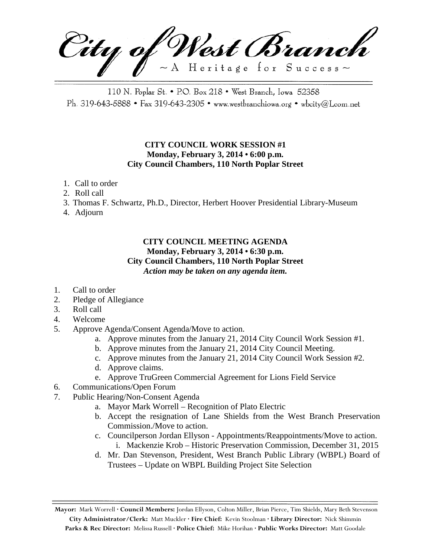City of West Branch  $\sim$  A Heritage for Success $\sim$ 

110 N. Poplar St. • P.O. Box 218 • West Branch, Iowa 52358 Ph. 319-643-5888 • Fax 319-643-2305 • www.westbranchiowa.org • wbcity@Lcom.net

#### **CITY COUNCIL WORK SESSION #1 Monday, February 3, 2014 • 6:00 p.m. City Council Chambers, 110 North Poplar Street**

- 1. Call to order
- 2. Roll call
- 3. Thomas F. Schwartz, Ph.D., Director, Herbert Hoover Presidential Library-Museum
- 4. Adjourn

## **CITY COUNCIL MEETING AGENDA Monday, February 3, 2014 • 6:30 p.m. City Council Chambers, 110 North Poplar Street** *Action may be taken on any agenda item.*

- 1. Call to order
- 2. Pledge of Allegiance
- 3. Roll call
- 4. Welcome
- 5. Approve Agenda/Consent Agenda/Move to action.
	- a. Approve minutes from the January 21, 2014 City Council Work Session #1.
	- b. Approve minutes from the January 21, 2014 City Council Meeting.
	- c. Approve minutes from the January 21, 2014 City Council Work Session #2.
	- d. Approve claims.
	- e. Approve TruGreen Commercial Agreement for Lions Field Service
- 6. Communications/Open Forum
- 7. Public Hearing/Non-Consent Agenda
	- a. Mayor Mark Worrell Recognition of Plato Electric
	- b. Accept the resignation of Lane Shields from the West Branch Preservation Commission./Move to action.
	- c. Councilperson Jordan Ellyson Appointments/Reappointments/Move to action.
		- i. Mackenzie Krob Historic Preservation Commission, December 31, 2015
	- d. Mr. Dan Stevenson, President, West Branch Public Library (WBPL) Board of Trustees – Update on WBPL Building Project Site Selection

**Mayor:** Mark Worrell **· Council Members:** Jordan Ellyson, Colton Miller, Brian Pierce, Tim Shields, Mary Beth Stevenson **City Administrator/Clerk:** Matt Muckler **· Fire Chief:** Kevin Stoolman **· Library Director:** Nick Shimmin **Parks & Rec Director:** Melissa Russell **· Police Chief:** Mike Horihan **· Public Works Director:** Matt Goodale